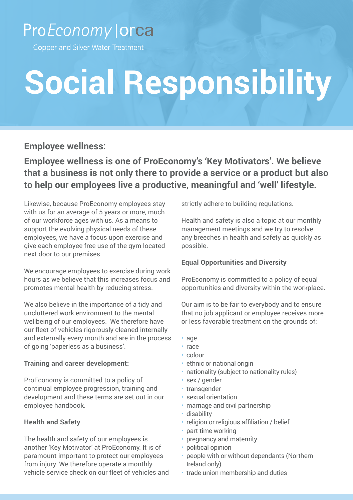### ProEconomy | orca

Copper and Silver Water Treatment

# **Social Responsibility**

**Employee wellness:**

**Employee wellness is one of ProEconomy's 'Key Motivators'. We believe that a business is not only there to provide a service or a product but also to help our employees live a productive, meaningful and 'well' lifestyle.**

Likewise, because ProEconomy employees stay with us for an average of 5 years or more, much of our workforce ages with us. As a means to support the evolving physical needs of these employees, we have a focus upon exercise and give each employee free use of the gym located next door to our premises.

We encourage employees to exercise during work hours as we believe that this increases focus and promotes mental health by reducing stress.

We also believe in the importance of a tidy and uncluttered work environment to the mental wellbeing of our employees. We therefore have our fleet of vehicles rigorously cleaned internally and externally every month and are in the process of going 'paperless as a business'.

#### **Training and career development:**

ProEconomy is committed to a policy of continual employee progression, training and development and these terms are set out in our employee handbook.

#### **Health and Safety**

The health and safety of our employees is another 'Key Motivator' at ProEconomy. It is of paramount important to protect our employees from injury. We therefore operate a monthly vehicle service check on our fleet of vehicles and strictly adhere to building regulations.

Health and safety is also a topic at our monthly management meetings and we try to resolve any breeches in health and safety as quickly as possible.

#### **Equal Opportunities and Diversity**

ProEconomy is committed to a policy of equal opportunities and diversity within the workplace.

Our aim is to be fair to everybody and to ensure that no job applicant or employee receives more or less favorable treatment on the grounds of:

- age
- race
- colour
- ethnic or national origin
- nationality (subject to nationality rules)
- sex / gender
- transgender
- sexual orientation
- marriage and civil partnership
- disability
- religion or religious affiliation / belief
- part-time working
- pregnancy and maternity
- political opinion
- people with or without dependants (Northern Ireland only)
- trade union membership and duties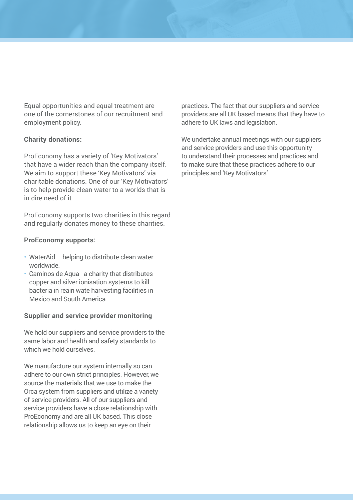Equal opportunities and equal treatment are one of the cornerstones of our recruitment and employment policy.

#### **Charity donations:**

ProEconomy has a variety of 'Key Motivators' that have a wider reach than the company itself. We aim to support these 'Key Motivators' via charitable donations. One of our 'Key Motivators' is to help provide clean water to a worlds that is in dire need of it.

ProEconomy supports two charities in this regard and regularly donates money to these charities.

#### **ProEconomy supports:**

- WaterAid helping to distribute clean water worldwide.
- Caminos de Agua a charity that distributes copper and silver ionisation systems to kill bacteria in reain wate harvesting facilities in Mexico and South America.

#### **Supplier and service provider monitoring**

We hold our suppliers and service providers to the same labor and health and safety standards to which we hold ourselves.

We manufacture our system internally so can adhere to our own strict principles. However, we source the materials that we use to make the Orca system from suppliers and utilize a variety of service providers. All of our suppliers and service providers have a close relationship with ProEconomy and are all UK based. This close relationship allows us to keep an eye on their

practices. The fact that our suppliers and service providers are all UK based means that they have to adhere to UK laws and legislation.

We undertake annual meetings with our suppliers and service providers and use this opportunity to understand their processes and practices and to make sure that these practices adhere to our principles and 'Key Motivators'.